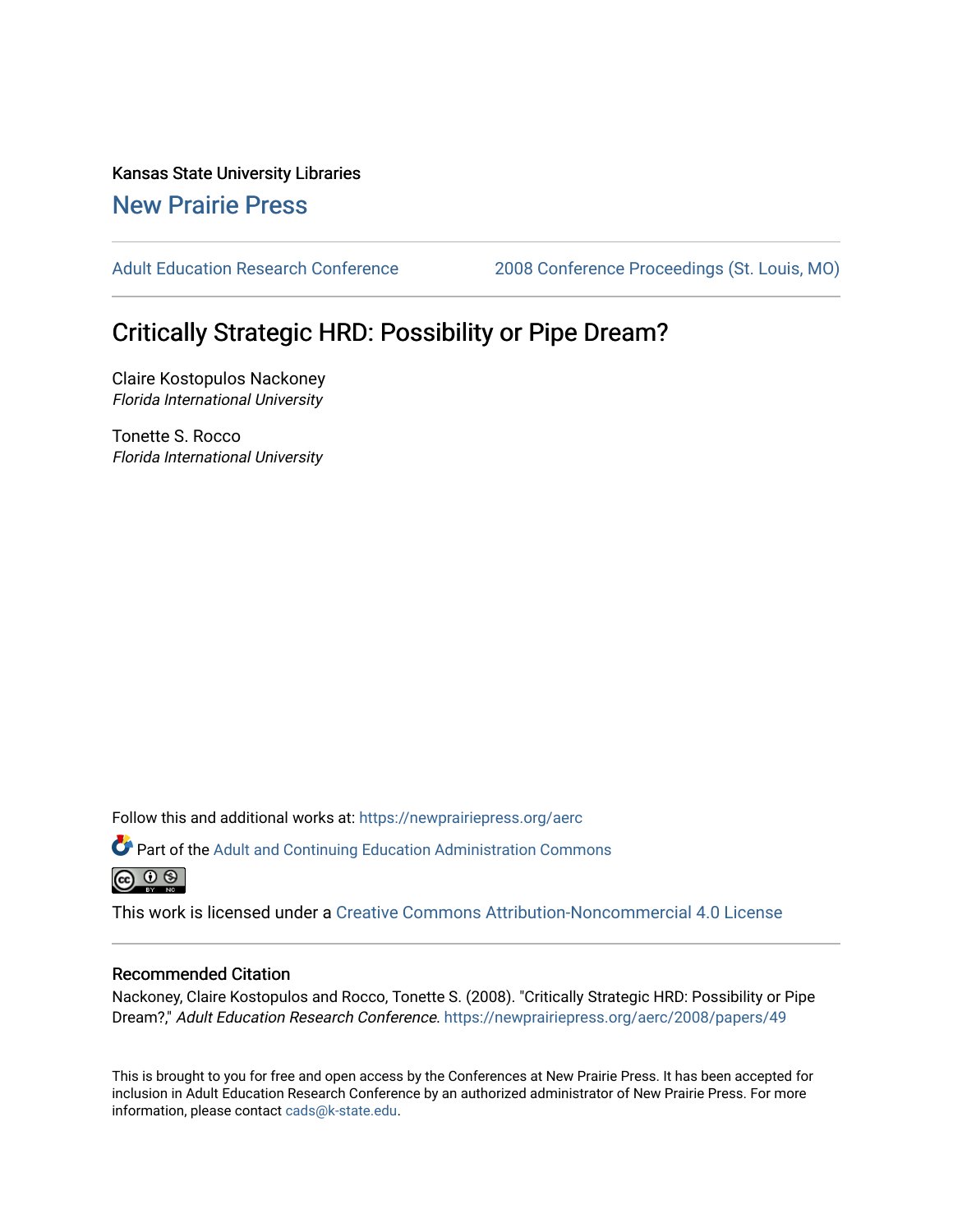Kansas State University Libraries [New Prairie Press](https://newprairiepress.org/) 

[Adult Education Research Conference](https://newprairiepress.org/aerc) [2008 Conference Proceedings \(St. Louis, MO\)](https://newprairiepress.org/aerc/2008) 

# Critically Strategic HRD: Possibility or Pipe Dream?

Claire Kostopulos Nackoney Florida International University

Tonette S. Rocco Florida International University

Follow this and additional works at: [https://newprairiepress.org/aerc](https://newprairiepress.org/aerc?utm_source=newprairiepress.org%2Faerc%2F2008%2Fpapers%2F49&utm_medium=PDF&utm_campaign=PDFCoverPages)

Part of the [Adult and Continuing Education Administration Commons](http://network.bepress.com/hgg/discipline/789?utm_source=newprairiepress.org%2Faerc%2F2008%2Fpapers%2F49&utm_medium=PDF&utm_campaign=PDFCoverPages) <u>ெ ெ ⊜</u>

This work is licensed under a [Creative Commons Attribution-Noncommercial 4.0 License](https://creativecommons.org/licenses/by-nc/4.0/)

#### Recommended Citation

Nackoney, Claire Kostopulos and Rocco, Tonette S. (2008). "Critically Strategic HRD: Possibility or Pipe Dream?," Adult Education Research Conference. <https://newprairiepress.org/aerc/2008/papers/49>

This is brought to you for free and open access by the Conferences at New Prairie Press. It has been accepted for inclusion in Adult Education Research Conference by an authorized administrator of New Prairie Press. For more information, please contact [cads@k-state.edu](mailto:cads@k-state.edu).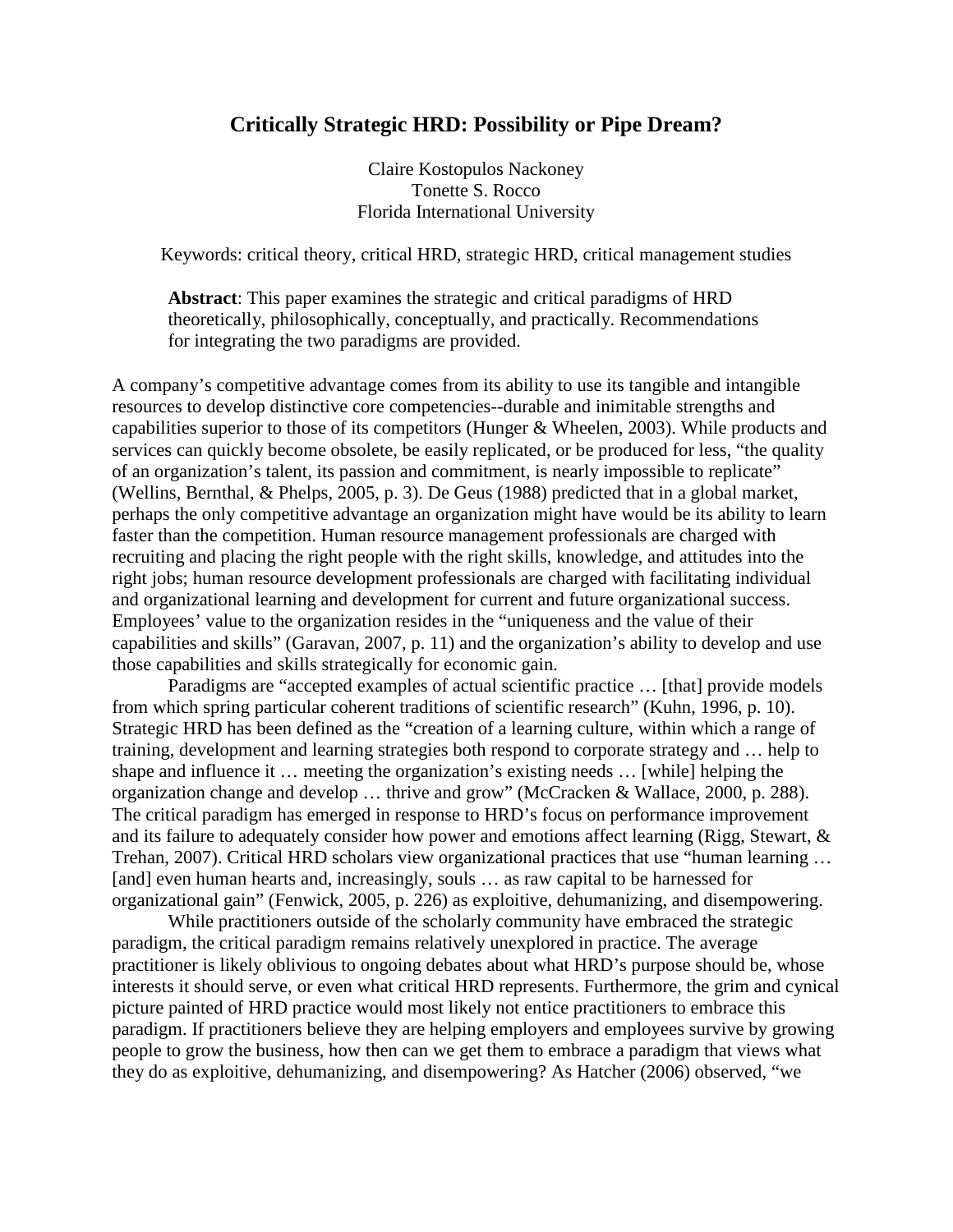## **Critically Strategic HRD: Possibility or Pipe Dream?**

Claire Kostopulos Nackoney Tonette S. Rocco Florida International University

Keywords: critical theory, critical HRD, strategic HRD, critical management studies

**Abstract**: This paper examines the strategic and critical paradigms of HRD theoretically, philosophically, conceptually, and practically. Recommendations for integrating the two paradigms are provided.

A company's competitive advantage comes from its ability to use its tangible and intangible resources to develop distinctive core competencies--durable and inimitable strengths and capabilities superior to those of its competitors (Hunger & Wheelen, 2003). While products and services can quickly become obsolete, be easily replicated, or be produced for less, "the quality of an organization's talent, its passion and commitment, is nearly impossible to replicate" (Wellins, Bernthal, & Phelps, 2005, p. 3). De Geus (1988) predicted that in a global market, perhaps the only competitive advantage an organization might have would be its ability to learn faster than the competition. Human resource management professionals are charged with recruiting and placing the right people with the right skills, knowledge, and attitudes into the right jobs; human resource development professionals are charged with facilitating individual and organizational learning and development for current and future organizational success. Employees' value to the organization resides in the "uniqueness and the value of their capabilities and skills" (Garavan, 2007, p. 11) and the organization's ability to develop and use those capabilities and skills strategically for economic gain.

Paradigms are "accepted examples of actual scientific practice … [that] provide models from which spring particular coherent traditions of scientific research" (Kuhn, 1996, p. 10). Strategic HRD has been defined as the "creation of a learning culture, within which a range of training, development and learning strategies both respond to corporate strategy and … help to shape and influence it … meeting the organization's existing needs … [while] helping the organization change and develop … thrive and grow" (McCracken & Wallace, 2000, p. 288). The critical paradigm has emerged in response to HRD's focus on performance improvement and its failure to adequately consider how power and emotions affect learning (Rigg, Stewart, & Trehan, 2007). Critical HRD scholars view organizational practices that use "human learning … [and] even human hearts and, increasingly, souls ... as raw capital to be harnessed for organizational gain" (Fenwick, 2005, p. 226) as exploitive, dehumanizing, and disempowering.

While practitioners outside of the scholarly community have embraced the strategic paradigm, the critical paradigm remains relatively unexplored in practice. The average practitioner is likely oblivious to ongoing debates about what HRD's purpose should be, whose interests it should serve, or even what critical HRD represents. Furthermore, the grim and cynical picture painted of HRD practice would most likely not entice practitioners to embrace this paradigm. If practitioners believe they are helping employers and employees survive by growing people to grow the business, how then can we get them to embrace a paradigm that views what they do as exploitive, dehumanizing, and disempowering? As Hatcher (2006) observed, "we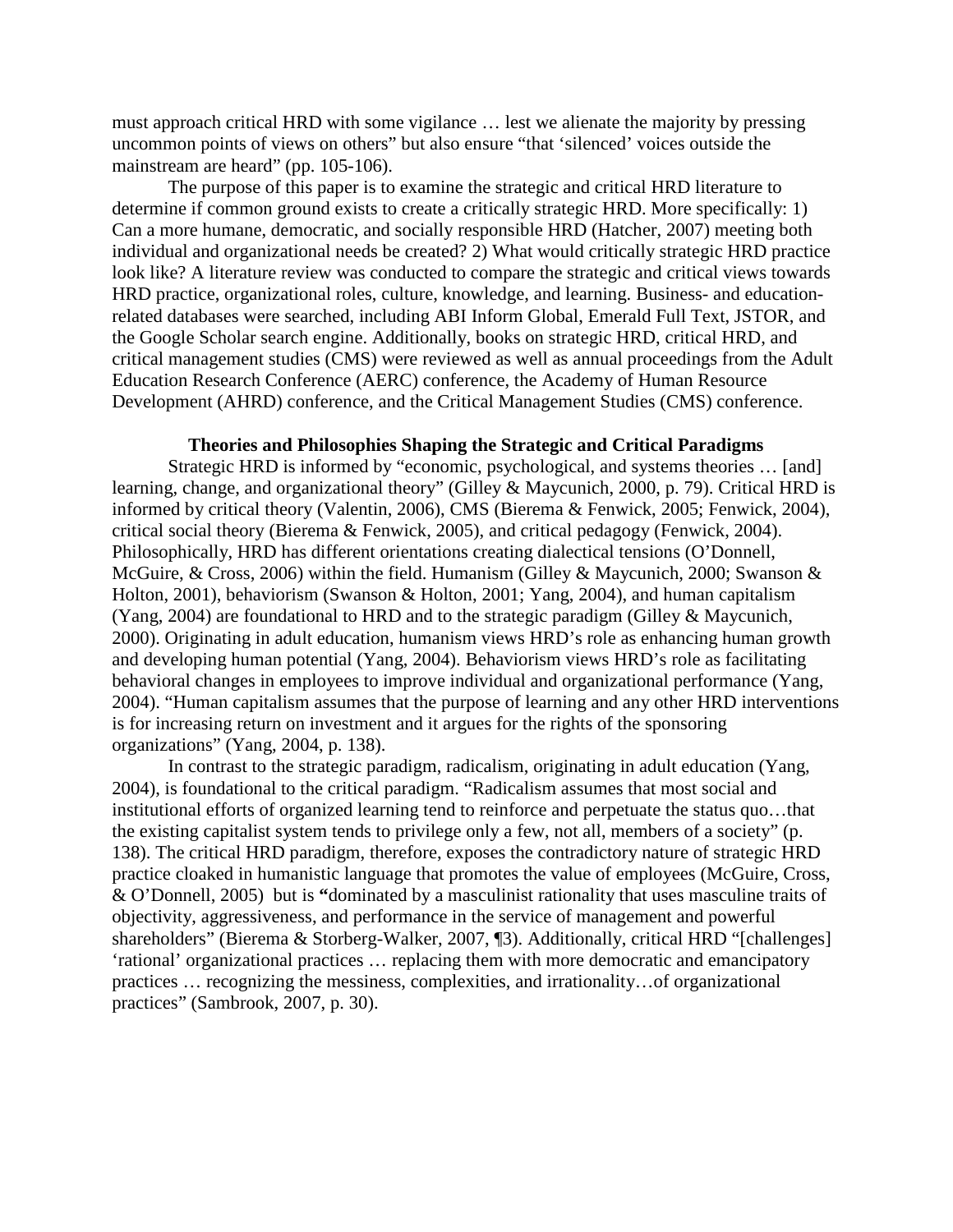must approach critical HRD with some vigilance … lest we alienate the majority by pressing uncommon points of views on others" but also ensure "that 'silenced' voices outside the mainstream are heard" (pp. 105-106).

The purpose of this paper is to examine the strategic and critical HRD literature to determine if common ground exists to create a critically strategic HRD. More specifically: 1) Can a more humane, democratic, and socially responsible HRD (Hatcher, 2007) meeting both individual and organizational needs be created? 2) What would critically strategic HRD practice look like? A literature review was conducted to compare the strategic and critical views towards HRD practice, organizational roles, culture, knowledge, and learning. Business- and educationrelated databases were searched, including ABI Inform Global, Emerald Full Text, JSTOR, and the Google Scholar search engine. Additionally, books on strategic HRD, critical HRD, and critical management studies (CMS) were reviewed as well as annual proceedings from the Adult Education Research Conference (AERC) conference, the Academy of Human Resource Development (AHRD) conference, and the Critical Management Studies (CMS) conference.

#### **Theories and Philosophies Shaping the Strategic and Critical Paradigms**

Strategic HRD is informed by "economic, psychological, and systems theories … [and] learning, change, and organizational theory" (Gilley & Maycunich, 2000, p. 79). Critical HRD is informed by critical theory (Valentin, 2006), CMS (Bierema & Fenwick, 2005; Fenwick, 2004), critical social theory (Bierema & Fenwick, 2005), and critical pedagogy (Fenwick, 2004). Philosophically, HRD has different orientations creating dialectical tensions (O'Donnell, McGuire, & Cross, 2006) within the field. Humanism (Gilley & Maycunich, 2000; Swanson & Holton, 2001), behaviorism (Swanson & Holton, 2001; Yang, 2004), and human capitalism (Yang, 2004) are foundational to HRD and to the strategic paradigm (Gilley & Maycunich, 2000). Originating in adult education, humanism views HRD's role as enhancing human growth and developing human potential (Yang, 2004). Behaviorism views HRD's role as facilitating behavioral changes in employees to improve individual and organizational performance (Yang, 2004). "Human capitalism assumes that the purpose of learning and any other HRD interventions is for increasing return on investment and it argues for the rights of the sponsoring organizations" (Yang, 2004, p. 138).

In contrast to the strategic paradigm, radicalism, originating in adult education (Yang, 2004), is foundational to the critical paradigm. "Radicalism assumes that most social and institutional efforts of organized learning tend to reinforce and perpetuate the status quo…that the existing capitalist system tends to privilege only a few, not all, members of a society" (p. 138). The critical HRD paradigm, therefore, exposes the contradictory nature of strategic HRD practice cloaked in humanistic language that promotes the value of employees (McGuire, Cross, & O'Donnell, 2005) but is **"**dominated by a masculinist rationality that uses masculine traits of objectivity, aggressiveness, and performance in the service of management and powerful shareholders" (Bierema & Storberg-Walker, 2007, ¶3). Additionally, critical HRD "[challenges] 'rational' organizational practices … replacing them with more democratic and emancipatory practices … recognizing the messiness, complexities, and irrationality…of organizational practices" (Sambrook, 2007, p. 30).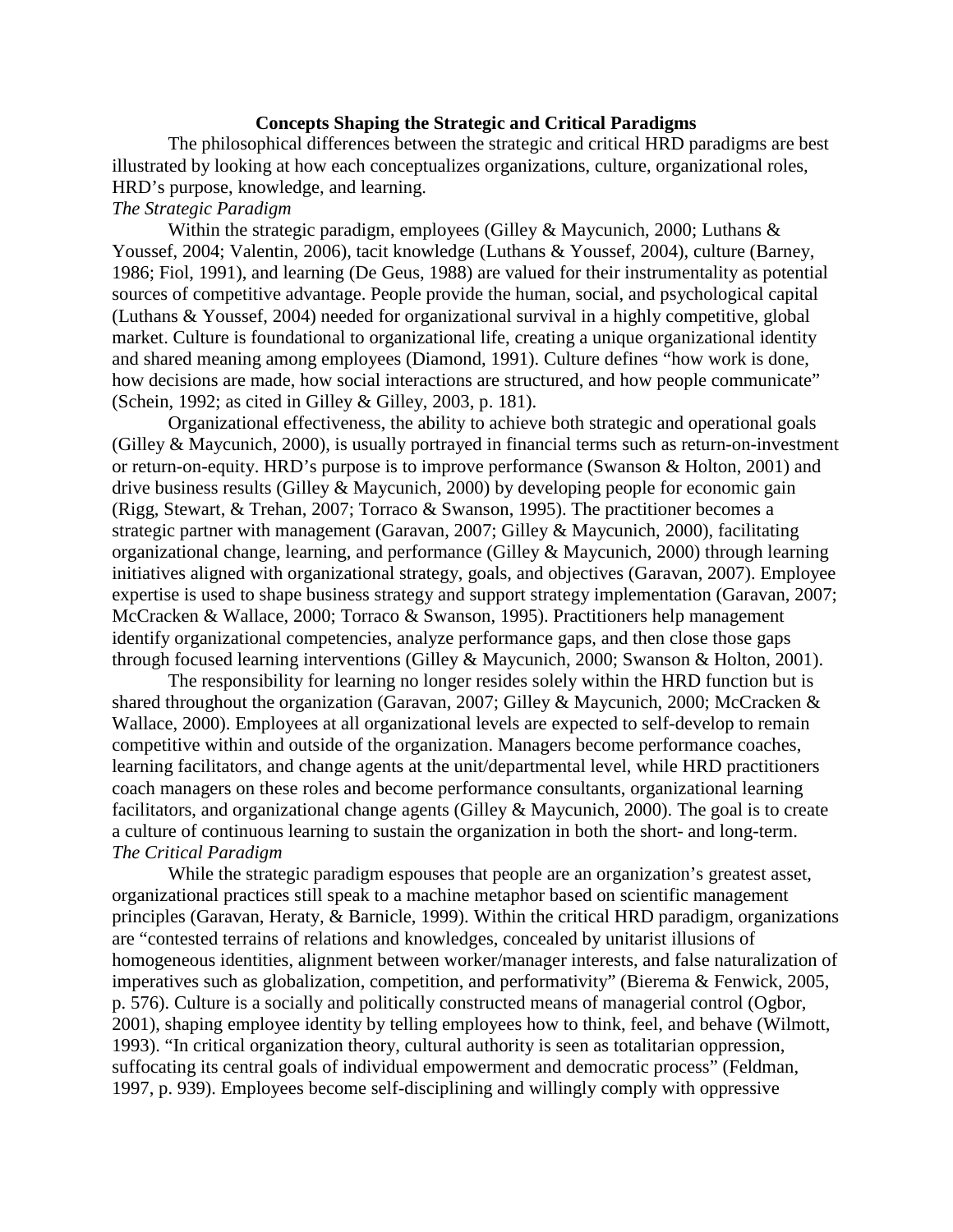#### **Concepts Shaping the Strategic and Critical Paradigms**

The philosophical differences between the strategic and critical HRD paradigms are best illustrated by looking at how each conceptualizes organizations, culture, organizational roles, HRD's purpose, knowledge, and learning.

### *The Strategic Paradigm*

Within the strategic paradigm, employees (Gilley & Maycunich, 2000; Luthans & Youssef, 2004; Valentin, 2006), tacit knowledge (Luthans & Youssef, 2004), culture (Barney, 1986; Fiol, 1991), and learning (De Geus, 1988) are valued for their instrumentality as potential sources of competitive advantage. People provide the human, social, and psychological capital (Luthans & Youssef, 2004) needed for organizational survival in a highly competitive, global market. Culture is foundational to organizational life, creating a unique organizational identity and shared meaning among employees (Diamond, 1991). Culture defines "how work is done, how decisions are made, how social interactions are structured, and how people communicate" (Schein, 1992; as cited in Gilley & Gilley, 2003, p. 181).

Organizational effectiveness, the ability to achieve both strategic and operational goals (Gilley & Maycunich, 2000), is usually portrayed in financial terms such as return-on-investment or return-on-equity. HRD's purpose is to improve performance (Swanson & Holton, 2001) and drive business results (Gilley & Maycunich, 2000) by developing people for economic gain (Rigg, Stewart, & Trehan, 2007; Torraco & Swanson, 1995). The practitioner becomes a strategic partner with management (Garavan, 2007; Gilley & Maycunich, 2000), facilitating organizational change, learning, and performance (Gilley & Maycunich, 2000) through learning initiatives aligned with organizational strategy, goals, and objectives (Garavan, 2007). Employee expertise is used to shape business strategy and support strategy implementation (Garavan, 2007; McCracken & Wallace, 2000; Torraco & Swanson, 1995). Practitioners help management identify organizational competencies, analyze performance gaps, and then close those gaps through focused learning interventions (Gilley & Maycunich, 2000; Swanson & Holton, 2001).

The responsibility for learning no longer resides solely within the HRD function but is shared throughout the organization (Garavan, 2007; Gilley & Maycunich, 2000; McCracken & Wallace, 2000). Employees at all organizational levels are expected to self-develop to remain competitive within and outside of the organization. Managers become performance coaches, learning facilitators, and change agents at the unit/departmental level, while HRD practitioners coach managers on these roles and become performance consultants, organizational learning facilitators, and organizational change agents (Gilley & Maycunich, 2000). The goal is to create a culture of continuous learning to sustain the organization in both the short- and long-term. *The Critical Paradigm* 

While the strategic paradigm espouses that people are an organization's greatest asset, organizational practices still speak to a machine metaphor based on scientific management principles (Garavan, Heraty, & Barnicle, 1999). Within the critical HRD paradigm, organizations are "contested terrains of relations and knowledges, concealed by unitarist illusions of homogeneous identities, alignment between worker/manager interests, and false naturalization of imperatives such as globalization, competition, and performativity" (Bierema & Fenwick, 2005, p. 576). Culture is a socially and politically constructed means of managerial control (Ogbor, 2001), shaping employee identity by telling employees how to think, feel, and behave (Wilmott, 1993). "In critical organization theory, cultural authority is seen as totalitarian oppression, suffocating its central goals of individual empowerment and democratic process" (Feldman, 1997, p. 939). Employees become self-disciplining and willingly comply with oppressive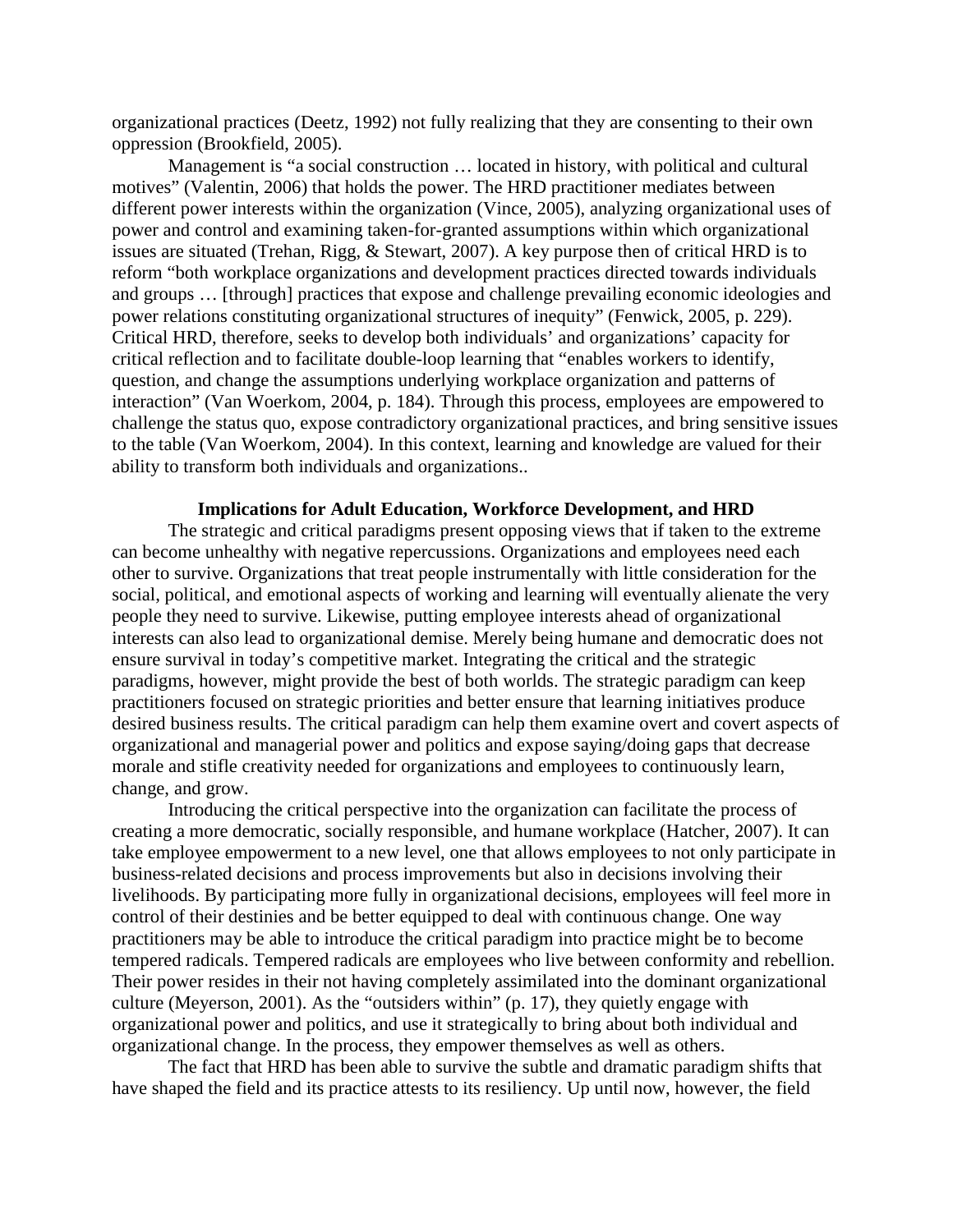organizational practices (Deetz, 1992) not fully realizing that they are consenting to their own oppression (Brookfield, 2005).

Management is "a social construction … located in history, with political and cultural motives" (Valentin, 2006) that holds the power. The HRD practitioner mediates between different power interests within the organization (Vince, 2005), analyzing organizational uses of power and control and examining taken-for-granted assumptions within which organizational issues are situated (Trehan, Rigg, & Stewart, 2007). A key purpose then of critical HRD is to reform "both workplace organizations and development practices directed towards individuals and groups … [through] practices that expose and challenge prevailing economic ideologies and power relations constituting organizational structures of inequity" (Fenwick, 2005, p. 229). Critical HRD, therefore, seeks to develop both individuals' and organizations' capacity for critical reflection and to facilitate double-loop learning that "enables workers to identify, question, and change the assumptions underlying workplace organization and patterns of interaction" (Van Woerkom, 2004, p. 184). Through this process, employees are empowered to challenge the status quo, expose contradictory organizational practices, and bring sensitive issues to the table (Van Woerkom, 2004). In this context, learning and knowledge are valued for their ability to transform both individuals and organizations..

#### **Implications for Adult Education, Workforce Development, and HRD**

The strategic and critical paradigms present opposing views that if taken to the extreme can become unhealthy with negative repercussions. Organizations and employees need each other to survive. Organizations that treat people instrumentally with little consideration for the social, political, and emotional aspects of working and learning will eventually alienate the very people they need to survive. Likewise, putting employee interests ahead of organizational interests can also lead to organizational demise. Merely being humane and democratic does not ensure survival in today's competitive market. Integrating the critical and the strategic paradigms, however, might provide the best of both worlds. The strategic paradigm can keep practitioners focused on strategic priorities and better ensure that learning initiatives produce desired business results. The critical paradigm can help them examine overt and covert aspects of organizational and managerial power and politics and expose saying/doing gaps that decrease morale and stifle creativity needed for organizations and employees to continuously learn, change, and grow.

Introducing the critical perspective into the organization can facilitate the process of creating a more democratic, socially responsible, and humane workplace (Hatcher, 2007). It can take employee empowerment to a new level, one that allows employees to not only participate in business-related decisions and process improvements but also in decisions involving their livelihoods. By participating more fully in organizational decisions, employees will feel more in control of their destinies and be better equipped to deal with continuous change. One way practitioners may be able to introduce the critical paradigm into practice might be to become tempered radicals. Tempered radicals are employees who live between conformity and rebellion. Their power resides in their not having completely assimilated into the dominant organizational culture (Meyerson, 2001). As the "outsiders within" (p. 17), they quietly engage with organizational power and politics, and use it strategically to bring about both individual and organizational change. In the process, they empower themselves as well as others.

The fact that HRD has been able to survive the subtle and dramatic paradigm shifts that have shaped the field and its practice attests to its resiliency. Up until now, however, the field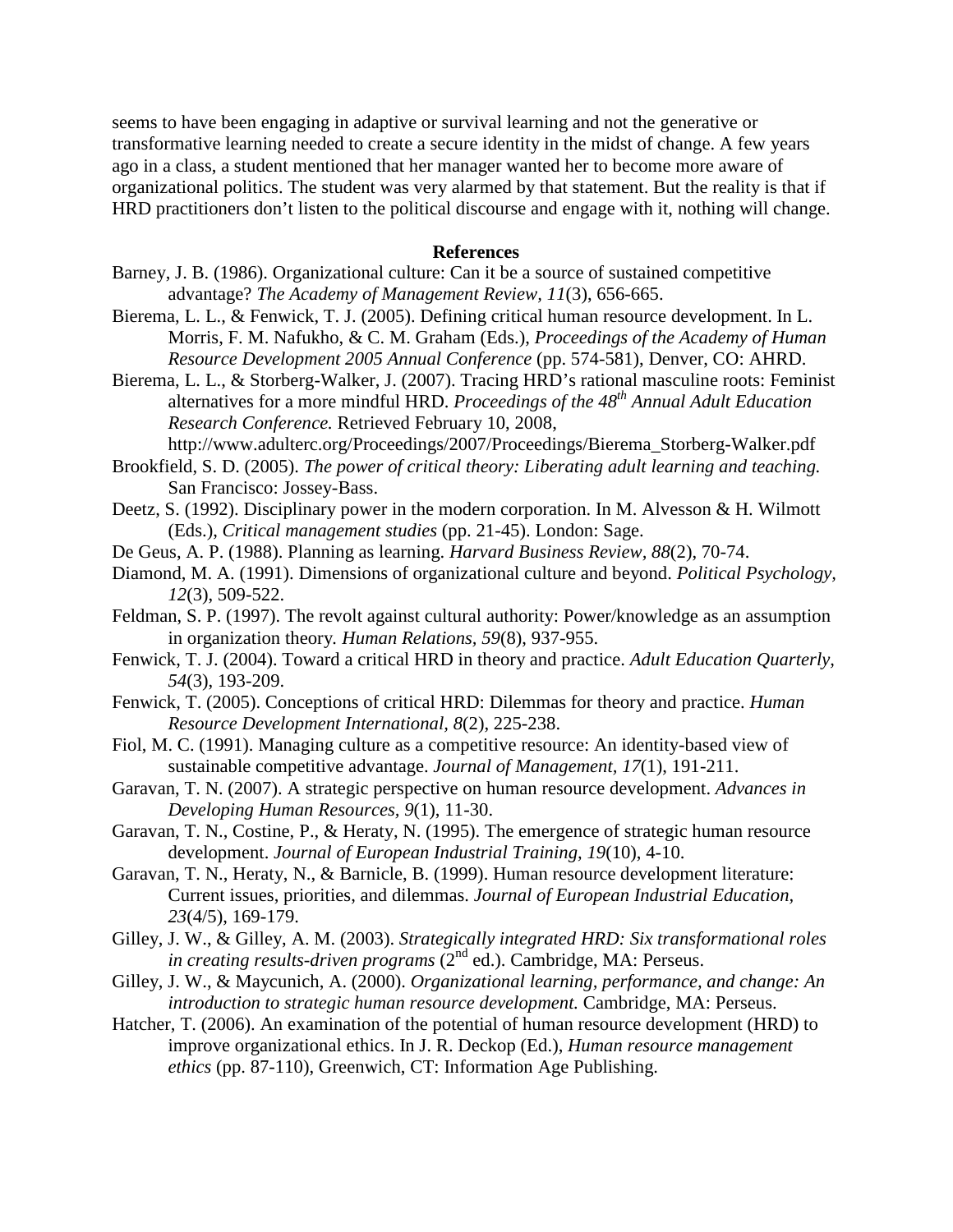seems to have been engaging in adaptive or survival learning and not the generative or transformative learning needed to create a secure identity in the midst of change. A few years ago in a class, a student mentioned that her manager wanted her to become more aware of organizational politics. The student was very alarmed by that statement. But the reality is that if HRD practitioners don't listen to the political discourse and engage with it, nothing will change.

#### **References**

- Barney, J. B. (1986). Organizational culture: Can it be a source of sustained competitive advantage? *The Academy of Management Review, 11*(3), 656-665.
- Bierema, L. L., & Fenwick, T. J. (2005). Defining critical human resource development. In L. Morris, F. M. Nafukho, & C. M. Graham (Eds.), *Proceedings of the Academy of Human Resource Development 2005 Annual Conference* (pp. 574-581), Denver, CO: AHRD.
- Bierema, L. L., & Storberg-Walker, J. (2007). Tracing HRD's rational masculine roots: Feminist alternatives for a more mindful HRD. *Proceedings of the 48th Annual Adult Education Research Conference.* Retrieved February 10, 2008,

http://www.adulterc.org/Proceedings/2007/Proceedings/Bierema\_Storberg-Walker.pdf Brookfield, S. D. (2005). *The power of critical theory: Liberating adult learning and teaching.* 

- San Francisco: Jossey-Bass.
- Deetz, S. (1992). Disciplinary power in the modern corporation. In M. Alvesson & H. Wilmott (Eds.), *Critical management studies* (pp. 21-45). London: Sage.
- De Geus, A. P. (1988). Planning as learning. *Harvard Business Review, 88*(2), 70-74.
- Diamond, M. A. (1991). Dimensions of organizational culture and beyond. *Political Psychology, 12*(3), 509-522.
- Feldman, S. P. (1997). The revolt against cultural authority: Power/knowledge as an assumption in organization theory*. Human Relations, 59*(8), 937-955.
- Fenwick, T. J. (2004). Toward a critical HRD in theory and practice. *Adult Education Quarterly, 54*(3), 193-209.
- Fenwick, T. (2005). Conceptions of critical HRD: Dilemmas for theory and practice. *Human Resource Development International, 8*(2), 225-238.
- Fiol, M. C. (1991). Managing culture as a competitive resource: An identity-based view of sustainable competitive advantage. *Journal of Management, 17*(1), 191-211.
- Garavan, T. N. (2007). A strategic perspective on human resource development. *Advances in Developing Human Resources, 9*(1), 11-30.
- Garavan, T. N., Costine, P., & Heraty, N. (1995). The emergence of strategic human resource development. *Journal of European Industrial Training, 19*(10), 4-10.
- Garavan, T. N., Heraty, N., & Barnicle, B. (1999). Human resource development literature: Current issues, priorities, and dilemmas. *Journal of European Industrial Education, 23*(4/5), 169-179.
- Gilley, J. W., & Gilley, A. M. (2003). *Strategically integrated HRD: Six transformational roles*  in creating results-driven programs (2<sup>nd</sup> ed.). Cambridge, MA: Perseus.
- Gilley, J. W., & Maycunich, A. (2000). *Organizational learning, performance, and change: An introduction to strategic human resource development.* Cambridge, MA: Perseus.
- Hatcher, T. (2006). An examination of the potential of human resource development (HRD) to improve organizational ethics. In J. R. Deckop (Ed.), *Human resource management ethics* (pp. 87-110), Greenwich, CT: Information Age Publishing.